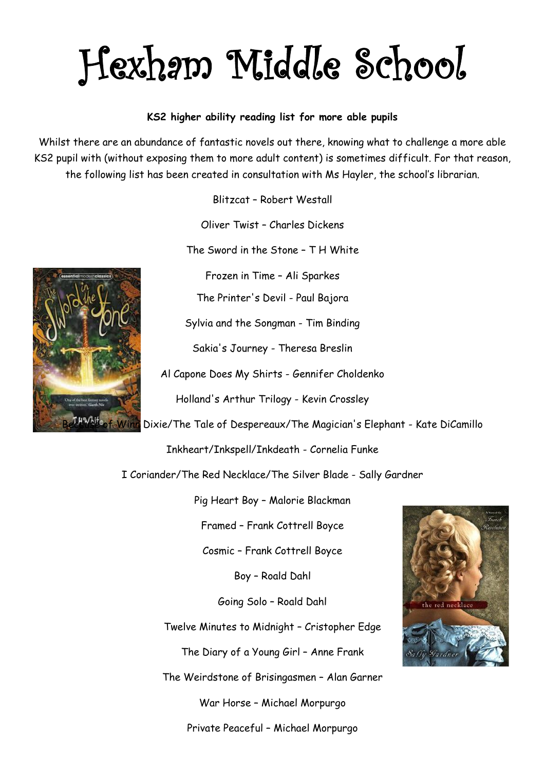## Hexham Middle School

## **KS2 higher ability reading list for more able pupils**

Whilst there are an abundance of fantastic novels out there, knowing what to challenge a more able KS2 pupil with (without exposing them to more adult content) is sometimes difficult. For that reason, the following list has been created in consultation with Ms Hayler, the school's librarian.

Blitzcat – Robert Westall

Oliver Twist – Charles Dickens

The Sword in the Stone – T H White

Frozen in Time – Ali Sparkes

The Printer's Devil - Paul Bajora

Sylvia and the Songman - Tim Binding

Sakia's Journey - Theresa Breslin

Al Capone Does My Shirts - Gennifer Choldenko

Holland's Arthur Trilogy - Kevin Crossley

Dixie/The Tale of Despereaux/The Magician's Elephant - Kate DiCamillo

Inkheart/Inkspell/Inkdeath - Cornelia Funke

I Coriander/The Red Necklace/The Silver Blade - Sally Gardner

Pig Heart Boy – Malorie Blackman

Framed – Frank Cottrell Boyce

Cosmic – Frank Cottrell Boyce

Boy – Roald Dahl

Going Solo – Roald Dahl

Twelve Minutes to Midnight – Cristopher Edge

The Diary of a Young Girl – Anne Frank

The Weirdstone of Brisingasmen – Alan Garner

War Horse – Michael Morpurgo

Private Peaceful – Michael Morpurgo